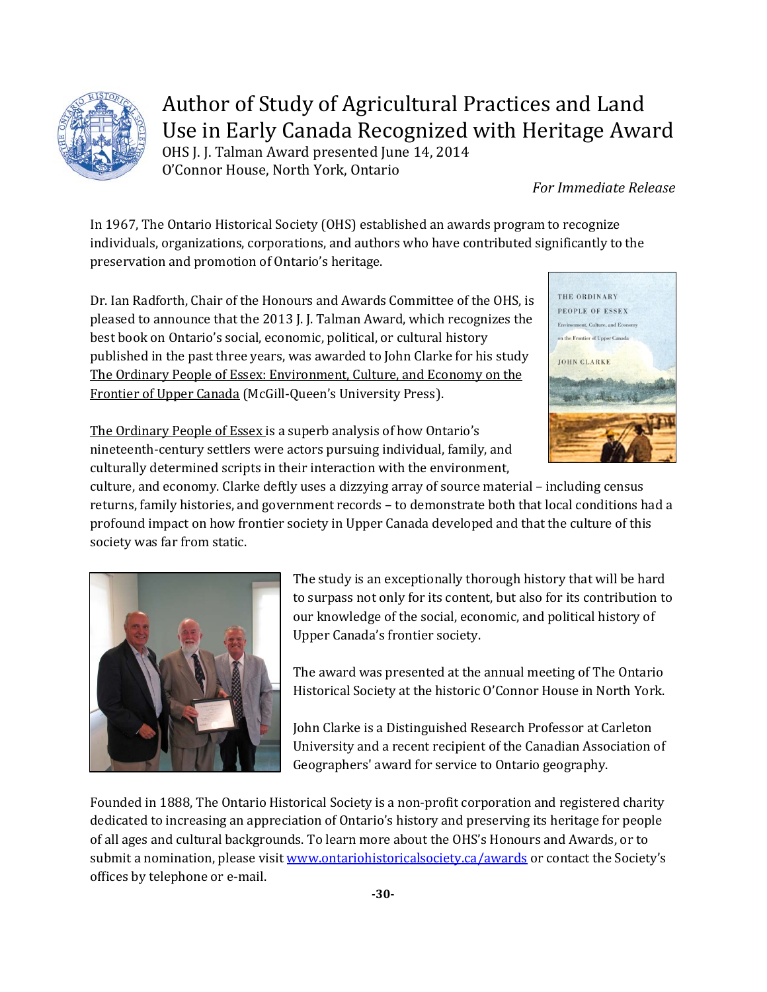

## Author of Study of Agricultural Practices and Land Use in Early Canada Recognized with Heritage Award

OHS J. J. Talman Award presented June 14, 2014 O'Connor House, North York, Ontario

*For Immediate Release*

In 1967, The Ontario Historical Society (OHS) established an awards program to recognize individuals, organizations, corporations, and authors who have contributed significantly to the preservation and promotion of Ontario's heritage.

Dr. Ian Radforth, Chair of the Honours and Awards Committee of the OHS, is pleased to announce that the 2013 J. J. Talman Award, which recognizes the best book on Ontario's social, economic, political, or cultural history published in the past three years, was awarded to John Clarke for his study The Ordinary People of Essex: Environment, Culture, and Economy on the Frontier of Upper Canada (McGill-Queen's University Press).



The Ordinary People of Essex is a superb analysis of how Ontario's nineteenth-century settlers were actors pursuing individual, family, and culturally determined scripts in their interaction with the environment,

culture, and economy. Clarke deftly uses a dizzying array of source material – including census returns, family histories, and government records – to demonstrate both that local conditions had a profound impact on how frontier society in Upper Canada developed and that the culture of this society was far from static.



The study is an exceptionally thorough history that will be hard to surpass not only for its content, but also for its contribution to our knowledge of the social, economic, and political history of Upper Canada's frontier society.

The award was presented at the annual meeting of The Ontario Historical Society at the historic O'Connor House in North York.

John Clarke is a Distinguished Research Professor at Carleton University and a recent recipient of the Canadian Association of Geographers' award for service to Ontario geography.

Founded in 1888, The Ontario Historical Society is a non-profit corporation and registered charity dedicated to increasing an appreciation of Ontario's history and preserving its heritage for people of all ages and cultural backgrounds. To learn more about the OHS's Honours and Awards, or to submit a nomination, please visit [www.ontariohistoricalsociety.ca/awards](http://www.ontariohistoricalsociety.ca/awards) or contact the Society's offices by telephone or e-mail.